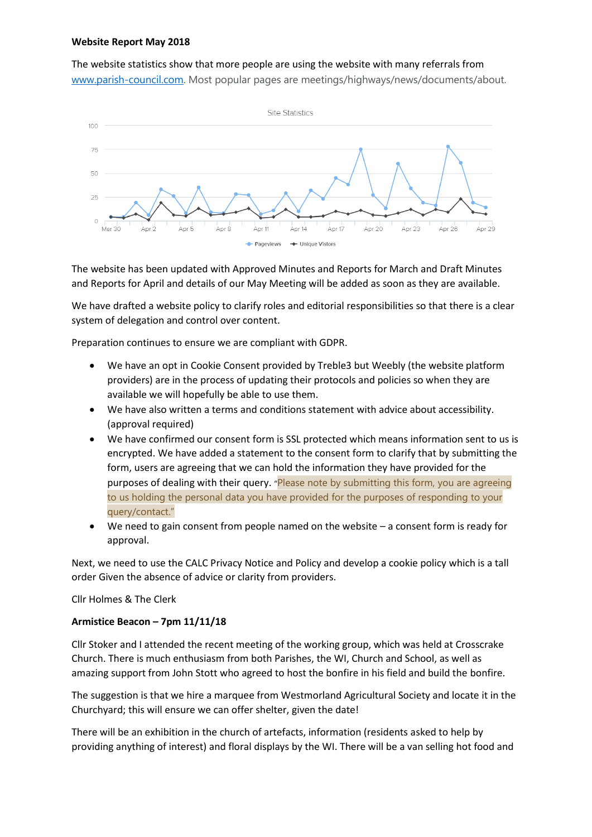#### **Website Report May 2018**

The website statistics show that more people are using the website with many referrals from [www.parish-council.com.](http://www.parish-council.com/) Most popular pages are meetings/highways/news/documents/about.



The website has been updated with Approved Minutes and Reports for March and Draft Minutes and Reports for April and details of our May Meeting will be added as soon as they are available.

We have drafted a website policy to clarify roles and editorial responsibilities so that there is a clear system of delegation and control over content.

Preparation continues to ensure we are compliant with GDPR.

- We have an opt in Cookie Consent provided by Treble3 but Weebly (the website platform providers) are in the process of updating their protocols and policies so when they are available we will hopefully be able to use them.
- We have also written a terms and conditions statement with advice about accessibility. (approval required)
- We have confirmed our consent form is SSL protected which means information sent to us is encrypted. We have added a statement to the consent form to clarify that by submitting the form, users are agreeing that we can hold the information they have provided for the purposes of dealing with their query. "Please note by submitting this form, you are agreeing to us holding the personal data you have provided for the purposes of responding to your query/contact."
- We need to gain consent from people named on the website a consent form is ready for approval.

Next, we need to use the CALC Privacy Notice and Policy and develop a cookie policy which is a tall order Given the absence of advice or clarity from providers.

Cllr Holmes & The Clerk

#### **Armistice Beacon – 7pm 11/11/18**

Cllr Stoker and I attended the recent meeting of the working group, which was held at Crosscrake Church. There is much enthusiasm from both Parishes, the WI, Church and School, as well as amazing support from John Stott who agreed to host the bonfire in his field and build the bonfire.

The suggestion is that we hire a marquee from Westmorland Agricultural Society and locate it in the Churchyard; this will ensure we can offer shelter, given the date!

There will be an exhibition in the church of artefacts, information (residents asked to help by providing anything of interest) and floral displays by the WI. There will be a van selling hot food and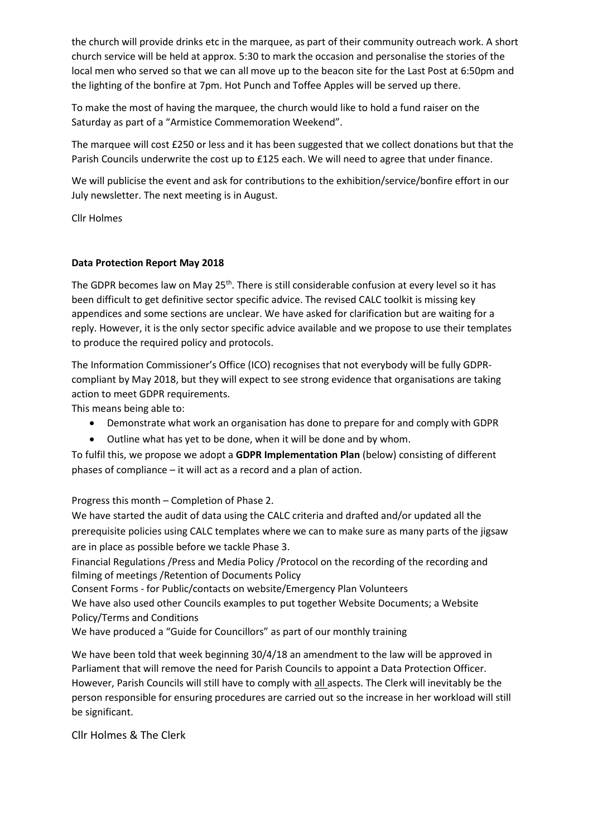the church will provide drinks etc in the marquee, as part of their community outreach work. A short church service will be held at approx. 5:30 to mark the occasion and personalise the stories of the local men who served so that we can all move up to the beacon site for the Last Post at 6:50pm and the lighting of the bonfire at 7pm. Hot Punch and Toffee Apples will be served up there.

To make the most of having the marquee, the church would like to hold a fund raiser on the Saturday as part of a "Armistice Commemoration Weekend".

The marquee will cost £250 or less and it has been suggested that we collect donations but that the Parish Councils underwrite the cost up to £125 each. We will need to agree that under finance.

We will publicise the event and ask for contributions to the exhibition/service/bonfire effort in our July newsletter. The next meeting is in August.

Cllr Holmes

#### **Data Protection Report May 2018**

The GDPR becomes law on May 25<sup>th</sup>. There is still considerable confusion at every level so it has been difficult to get definitive sector specific advice. The revised CALC toolkit is missing key appendices and some sections are unclear. We have asked for clarification but are waiting for a reply. However, it is the only sector specific advice available and we propose to use their templates to produce the required policy and protocols.

The Information Commissioner's Office (ICO) recognises that not everybody will be fully GDPRcompliant by May 2018, but they will expect to see strong evidence that organisations are taking action to meet GDPR requirements.

This means being able to:

- Demonstrate what work an organisation has done to prepare for and comply with GDPR
- Outline what has yet to be done, when it will be done and by whom.

To fulfil this, we propose we adopt a **GDPR Implementation Plan** (below) consisting of different phases of compliance – it will act as a record and a plan of action.

Progress this month – Completion of Phase 2.

We have started the audit of data using the CALC criteria and drafted and/or updated all the prerequisite policies using CALC templates where we can to make sure as many parts of the jigsaw are in place as possible before we tackle Phase 3.

Financial Regulations /Press and Media Policy /Protocol on the recording of the recording and filming of meetings /Retention of Documents Policy

Consent Forms - for Public/contacts on website/Emergency Plan Volunteers

We have also used other Councils examples to put together Website Documents; a Website Policy/Terms and Conditions

We have produced a "Guide for Councillors" as part of our monthly training

We have been told that week beginning 30/4/18 an amendment to the law will be approved in Parliament that will remove the need for Parish Councils to appoint a Data Protection Officer. However, Parish Councils will still have to comply with all aspects. The Clerk will inevitably be the person responsible for ensuring procedures are carried out so the increase in her workload will still be significant.

Cllr Holmes & The Clerk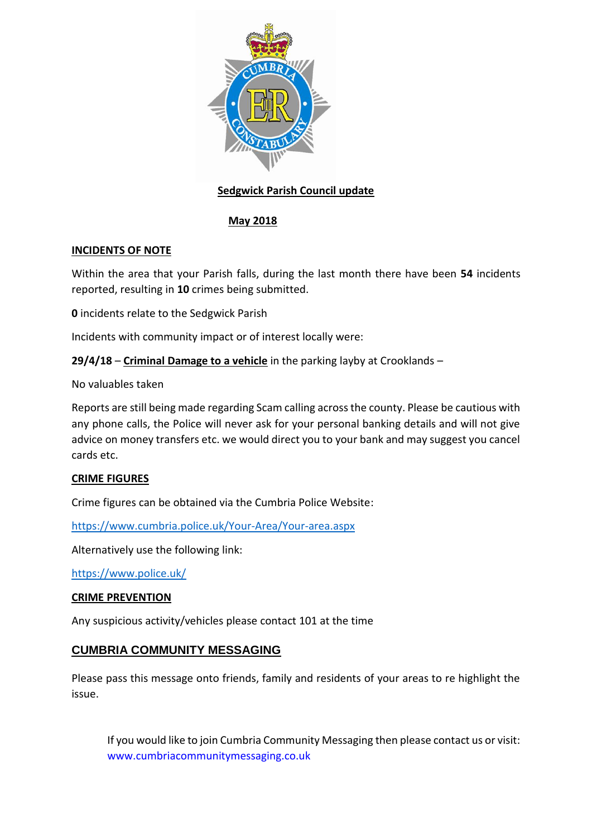

# **Sedgwick Parish Council update**

# **May 2018**

# **INCIDENTS OF NOTE**

Within the area that your Parish falls, during the last month there have been **54** incidents reported, resulting in **10** crimes being submitted.

**0** incidents relate to the Sedgwick Parish

Incidents with community impact or of interest locally were:

**29/4/18** – **Criminal Damage to a vehicle** in the parking layby at Crooklands –

No valuables taken

Reports are still being made regarding Scam calling across the county. Please be cautious with any phone calls, the Police will never ask for your personal banking details and will not give advice on money transfers etc. we would direct you to your bank and may suggest you cancel cards etc.

# **CRIME FIGURES**

Crime figures can be obtained via the Cumbria Police Website:

<https://www.cumbria.police.uk/Your-Area/Your-area.aspx>

Alternatively use the following link:

<https://www.police.uk/>

# **CRIME PREVENTION**

Any suspicious activity/vehicles please contact 101 at the time

# **CUMBRIA COMMUNITY MESSAGING**

Please pass this message onto friends, family and residents of your areas to re highlight the issue.

If you would like to join Cumbria Community Messaging then please contact us or visit: [www.cumbriacommunitymessaging.co.uk](http://www.cumbriacommunitymessaging.co.uk/)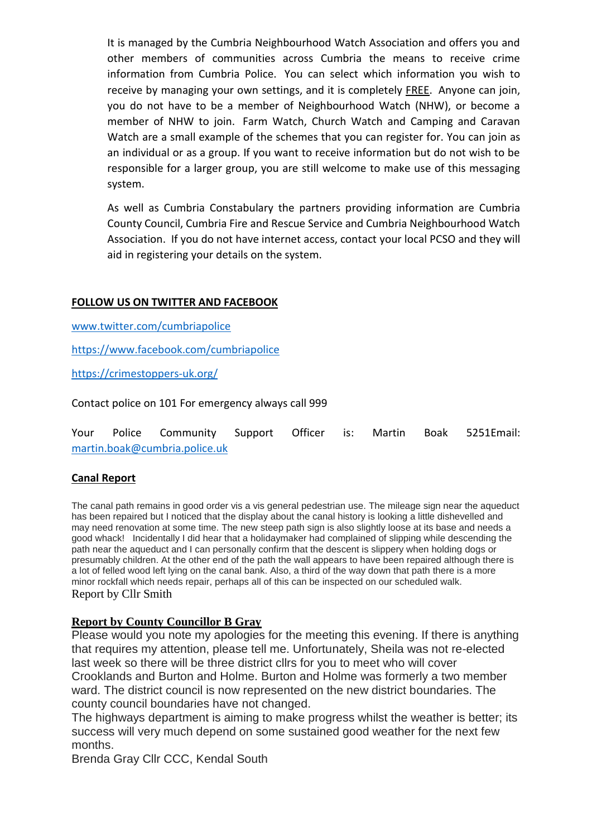It is managed by the Cumbria Neighbourhood Watch Association and offers you and other members of communities across Cumbria the means to receive crime information from Cumbria Police. You can select which information you wish to receive by managing your own settings, and it is completely FREE. Anyone can join, you do not have to be a member of Neighbourhood Watch (NHW), or become a member of NHW to join. Farm Watch, Church Watch and Camping and Caravan Watch are a small example of the schemes that you can register for. You can join as an individual or as a group. If you want to receive information but do not wish to be responsible for a larger group, you are still welcome to make use of this messaging system.

As well as Cumbria Constabulary the partners providing information are Cumbria County Council, Cumbria Fire and Rescue Service and Cumbria Neighbourhood Watch Association. If you do not have internet access, contact your local PCSO and they will aid in registering your details on the system.

#### **FOLLOW US ON TWITTER AND FACEBOOK**

[www.twitter.com/cumbriapolice](http://www.twitter.com/cumbriapolice)

<https://www.facebook.com/cumbriapolice>

<https://crimestoppers-uk.org/>

Contact police on 101 For emergency always call 999

|                               |  | Your Police Community Support Officer is: Martin Boak 5251Email: |  |  |  |  |  |  |
|-------------------------------|--|------------------------------------------------------------------|--|--|--|--|--|--|
| martin.boak@cumbria.police.uk |  |                                                                  |  |  |  |  |  |  |

#### **Canal Report**

The canal path remains in good order vis a vis general pedestrian use. The mileage sign near the aqueduct has been repaired but I noticed that the display about the canal history is looking a little dishevelled and may need renovation at some time. The new steep path sign is also slightly loose at its base and needs a good whack! Incidentally I did hear that a holidaymaker had complained of slipping while descending the path near the aqueduct and I can personally confirm that the descent is slippery when holding dogs or presumably children. At the other end of the path the wall appears to have been repaired although there is a lot of felled wood left lying on the canal bank. Also, a third of the way down that path there is a more minor rockfall which needs repair, perhaps all of this can be inspected on our scheduled walk. Report by Cllr Smith

#### **Report by County Councillor B Gray**

Please would you note my apologies for the meeting this evening. If there is anything that requires my attention, please tell me. Unfortunately, Sheila was not re-elected last week so there will be three district cllrs for you to meet who will cover Crooklands and Burton and Holme. Burton and Holme was formerly a two member ward. The district council is now represented on the new district boundaries. The county council boundaries have not changed.

The highways department is aiming to make progress whilst the weather is better; its success will very much depend on some sustained good weather for the next few months.

Brenda Gray Cllr CCC, Kendal South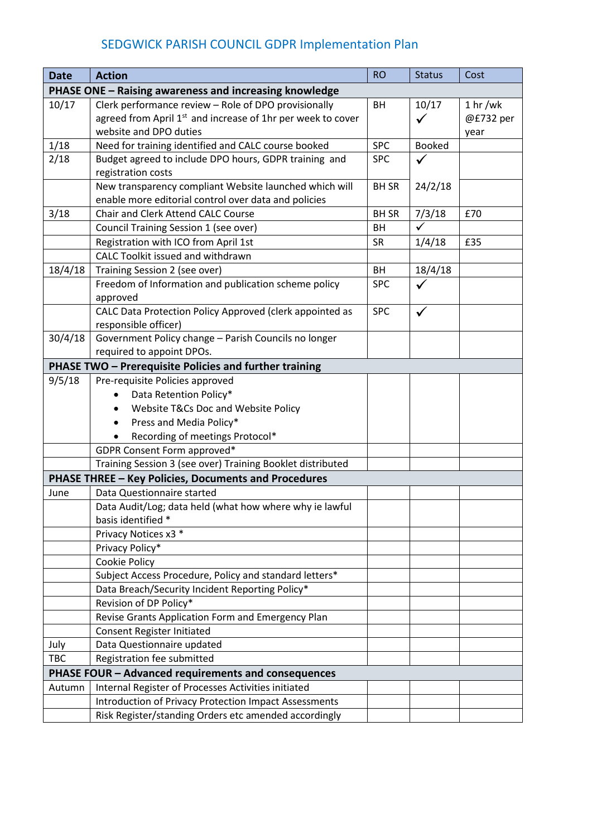# SEDGWICK PARISH COUNCIL GDPR Implementation Plan

| <b>Date</b>                                            | <b>Action</b>                                                                                                  | <b>RO</b>    | <b>Status</b> | Cost                |  |  |  |
|--------------------------------------------------------|----------------------------------------------------------------------------------------------------------------|--------------|---------------|---------------------|--|--|--|
| PHASE ONE - Raising awareness and increasing knowledge |                                                                                                                |              |               |                     |  |  |  |
| 10/17                                                  | Clerk performance review - Role of DPO provisionally                                                           | BH           | 10/17         | 1 <sub>hr</sub> /wk |  |  |  |
|                                                        | agreed from April 1 <sup>st</sup> and increase of 1hr per week to cover                                        |              | $\checkmark$  | @£732 per           |  |  |  |
|                                                        | website and DPO duties                                                                                         |              |               | year                |  |  |  |
| 1/18                                                   | Need for training identified and CALC course booked                                                            | <b>SPC</b>   | <b>Booked</b> |                     |  |  |  |
| 2/18                                                   | Budget agreed to include DPO hours, GDPR training and                                                          | <b>SPC</b>   | $\checkmark$  |                     |  |  |  |
|                                                        | registration costs                                                                                             |              |               |                     |  |  |  |
|                                                        | New transparency compliant Website launched which will<br>enable more editorial control over data and policies | <b>BH SR</b> | 24/2/18       |                     |  |  |  |
| 3/18                                                   | Chair and Clerk Attend CALC Course                                                                             | <b>BH SR</b> | 7/3/18        | £70                 |  |  |  |
|                                                        | Council Training Session 1 (see over)                                                                          | BH           | ✓             |                     |  |  |  |
|                                                        | Registration with ICO from April 1st                                                                           | <b>SR</b>    | 1/4/18        | £35                 |  |  |  |
|                                                        | CALC Toolkit issued and withdrawn                                                                              |              |               |                     |  |  |  |
| 18/4/18                                                | Training Session 2 (see over)                                                                                  | <b>BH</b>    | 18/4/18       |                     |  |  |  |
|                                                        | Freedom of Information and publication scheme policy                                                           | <b>SPC</b>   | $\checkmark$  |                     |  |  |  |
|                                                        | approved                                                                                                       |              |               |                     |  |  |  |
|                                                        | CALC Data Protection Policy Approved (clerk appointed as                                                       | <b>SPC</b>   | $\checkmark$  |                     |  |  |  |
|                                                        | responsible officer)                                                                                           |              |               |                     |  |  |  |
| 30/4/18                                                | Government Policy change - Parish Councils no longer                                                           |              |               |                     |  |  |  |
|                                                        | required to appoint DPOs.                                                                                      |              |               |                     |  |  |  |
| PHASE TWO - Prerequisite Policies and further training |                                                                                                                |              |               |                     |  |  |  |
| 9/5/18                                                 | Pre-requisite Policies approved                                                                                |              |               |                     |  |  |  |
|                                                        | Data Retention Policy*                                                                                         |              |               |                     |  |  |  |
|                                                        | Website T&Cs Doc and Website Policy<br>$\bullet$                                                               |              |               |                     |  |  |  |
|                                                        | Press and Media Policy*<br>$\bullet$                                                                           |              |               |                     |  |  |  |
|                                                        | Recording of meetings Protocol*                                                                                |              |               |                     |  |  |  |
|                                                        | GDPR Consent Form approved*                                                                                    |              |               |                     |  |  |  |
|                                                        | Training Session 3 (see over) Training Booklet distributed                                                     |              |               |                     |  |  |  |
|                                                        | <b>PHASE THREE - Key Policies, Documents and Procedures</b>                                                    |              |               |                     |  |  |  |
| June                                                   | Data Questionnaire started                                                                                     |              |               |                     |  |  |  |
|                                                        | Data Audit/Log; data held (what how where why ie lawful<br>basis identified *                                  |              |               |                     |  |  |  |
|                                                        | Privacy Notices x3 *                                                                                           |              |               |                     |  |  |  |
|                                                        | Privacy Policy*                                                                                                |              |               |                     |  |  |  |
|                                                        | Cookie Policy                                                                                                  |              |               |                     |  |  |  |
|                                                        | Subject Access Procedure, Policy and standard letters*                                                         |              |               |                     |  |  |  |
|                                                        | Data Breach/Security Incident Reporting Policy*                                                                |              |               |                     |  |  |  |
|                                                        | Revision of DP Policy*                                                                                         |              |               |                     |  |  |  |
|                                                        | Revise Grants Application Form and Emergency Plan                                                              |              |               |                     |  |  |  |
|                                                        | <b>Consent Register Initiated</b>                                                                              |              |               |                     |  |  |  |
| July                                                   | Data Questionnaire updated                                                                                     |              |               |                     |  |  |  |
| <b>TBC</b>                                             | Registration fee submitted                                                                                     |              |               |                     |  |  |  |
| PHASE FOUR - Advanced requirements and consequences    |                                                                                                                |              |               |                     |  |  |  |
| Autumn                                                 | Internal Register of Processes Activities initiated                                                            |              |               |                     |  |  |  |
|                                                        | <b>Introduction of Privacy Protection Impact Assessments</b>                                                   |              |               |                     |  |  |  |
|                                                        | Risk Register/standing Orders etc amended accordingly                                                          |              |               |                     |  |  |  |